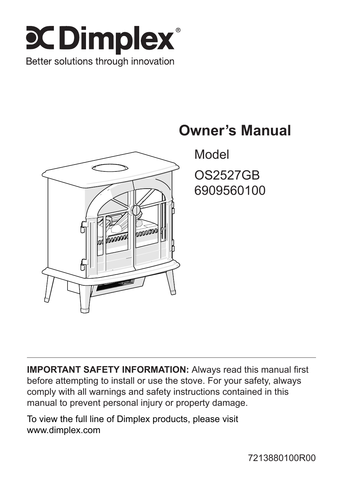



## **Owner's Manual**

Model OS2527GB 6909560100

**IMPORTANT SAFETY INFORMATION:** Always read this manual first before attempting to install or use the stove. For your safety, always comply with all warnings and safety instructions contained in this manual to prevent personal injury or property damage.

To view the full line of Dimplex products, please visit www.dimplex.com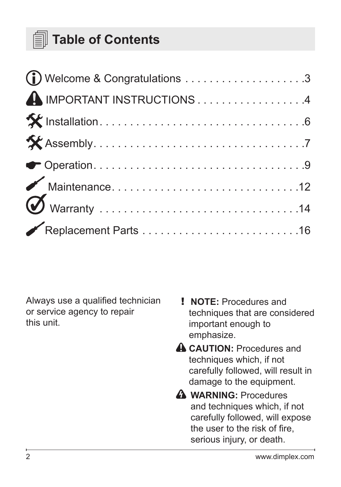## **Table of Contents**

| A IMPORTANT INSTRUCTIONS 4 |  |
|----------------------------|--|
|                            |  |
|                            |  |
|                            |  |
|                            |  |
|                            |  |
|                            |  |

Always use a qualified technician or service agency to repair this unit.

- ! **NOTE:** Procedures and techniques that are considered important enough to emphasize.
- **A CAUTION:** Procedures and techniques which, if not carefully followed, will result in damage to the equipment.
- **A** WARNING: Procedures and techniques which, if not carefully followed, will expose the user to the risk of fire, serious injury, or death.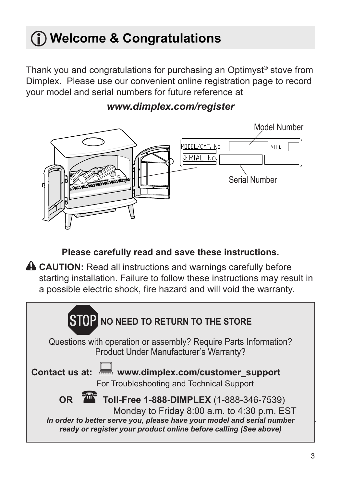## <span id="page-2-0"></span>**Welcome & Congratulations**

Thank you and congratulations for purchasing an Optimyst® stove from Dimplex. Please use our convenient online registration page to record your model and serial numbers for future reference at



### *www.dimplex.com/register*

**Please carefully read and save these instructions.**

**A CAUTION:** Read all instructions and warnings carefully before starting installation. Failure to follow these instructions may result in a possible electric shock, fire hazard and will void the warranty.

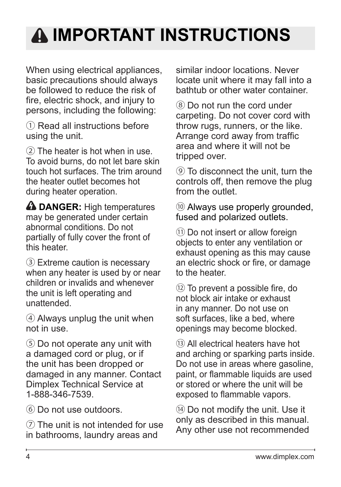# <span id="page-3-0"></span>**IMPORTANT INSTRUCTIONS**

When using electrical appliances, basic precautions should always be followed to reduce the risk of fire, electric shock, and injury to persons, including the following:

① Read all instructions before using the unit.

② The heater is hot when in use. To avoid burns, do not let bare skin touch hot surfaces. The trim around the heater outlet becomes hot during heater operation.

*A* DANGER: High temperatures may be generated under certain abnormal conditions. Do not partially of fully cover the front of this heater.

③ Extreme caution is necessary when any heater is used by or near children or invalids and whenever the unit is left operating and unattended.

④ Always unplug the unit when not in use.

⑤ Do not operate any unit with a damaged cord or plug, or if the unit has been dropped or damaged in any manner. Contact Dimplex Technical Service at 1-888-346-7539.

⑥ Do not use outdoors.

⑦ The unit is not intended for use in bathrooms, laundry areas and

similar indoor locations. Never locate unit where it may fall into a bathtub or other water container.

⑧ Do not run the cord under carpeting. Do not cover cord with throw rugs, runners, or the like. Arrange cord away from traffic area and where it will not be tripped over.

⑨ To disconnect the unit, turn the controls off, then remove the plug from the outlet.

⑩ Always use properly grounded, fused and polarized outlets.

⑪ Do not insert or allow foreign objects to enter any ventilation or exhaust opening as this may cause an electric shock or fire, or damage to the heater

⑫ To prevent a possible fire, do not block air intake or exhaust in any manner. Do not use on soft surfaces, like a bed, where openings may become blocked.

⑬ All electrical heaters have hot and arching or sparking parts inside. Do not use in areas where gasoline, paint, or flammable liquids are used or stored or where the unit will be exposed to flammable vapors.

⑭ Do not modify the unit. Use it only as described in this manual. Any other use not recommended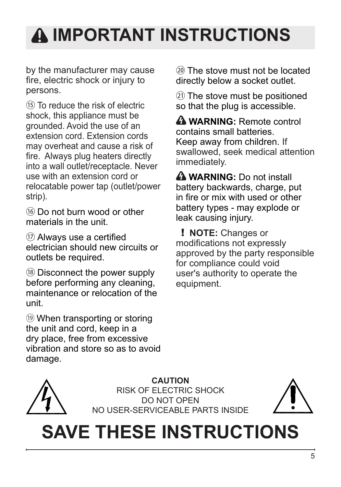# **IMPORTANT INSTRUCTIONS**

by the manufacturer may cause fire, electric shock or injury to persons.

⑮ To reduce the risk of electric shock, this appliance must be grounded. Avoid the use of an extension cord. Extension cords may overheat and cause a risk of fire. Always plug heaters directly into a wall outlet/receptacle. Never use with an extension cord or relocatable power tap (outlet/power strip).

⑯ Do not burn wood or other materials in the unit.

⑰ Always use a certified electrician should new circuits or outlets be required.

⑱ Disconnect the power supply before performing any cleaning, maintenance or relocation of the unit.

⑲ When transporting or storing the unit and cord, keep in a dry place, free from excessive vibration and store so as to avoid damage.

⑳ The stove must not be located directly below a socket outlet.

㉑ The stove must be positioned so that the plug is accessible.

 **WARNING:** Remote control contains small batteries. Keep away from children. If swallowed, seek medical attention immediately.

**A WARNING:** Do not install battery backwards, charge, put in fire or mix with used or other battery types - may explode or leak causing injury.

! **NOTE:** Changes or modifications not expressly approved by the party responsible for compliance could void user's authority to operate the equipment.



**CAUTION** RISK OF ELECTRIC SHOCK DO NOT OPEN NO USER-SERVICEABLE PARTS INSIDE



# **SAVE THESE INSTRUCTIONS**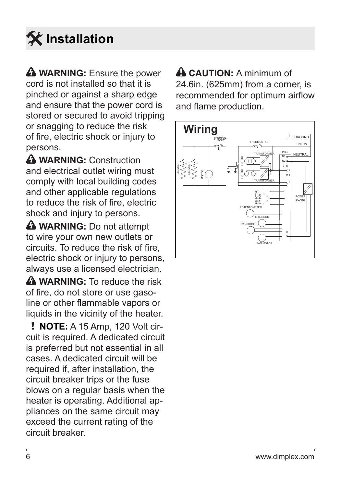# <span id="page-5-0"></span> **Installation**

**A WARNING:** Ensure the power cord is not installed so that it is pinched or against a sharp edge and ensure that the power cord is stored or secured to avoid tripping or snagging to reduce the risk of fire, electric shock or injury to persons.

**WARNING:** Construction and electrical outlet wiring must comply with local building codes and other applicable regulations to reduce the risk of fire, electric shock and injury to persons.

**A** WARNING: Do not attempt to wire your own new outlets or circuits. To reduce the risk of fire, electric shock or injury to persons, always use a licensed electrician.

**A** WARNING: To reduce the risk of fire, do not store or use gasoline or other flammable vapors or liquids in the vicinity of the heater.

! **NOTE:** A 15 Amp, 120 Volt circuit is required. A dedicated circuit is preferred but not essential in all cases. A dedicated circuit will be required if, after installation, the circuit breaker trips or the fuse blows on a regular basis when the heater is operating. Additional appliances on the same circuit may exceed the current rating of the circuit breaker.

 **CAUTION:** A minimum of 24.6in. (625mm) from a corner, is recommended for optimum airflow and flame production.

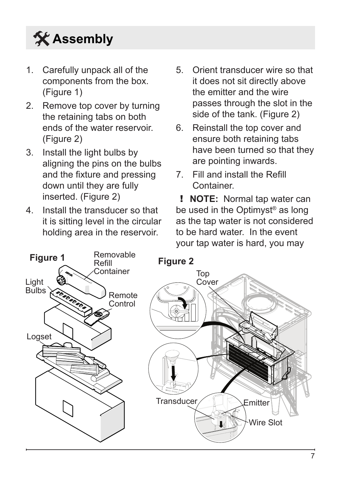# <span id="page-6-0"></span>**Assembly**

- 1. Carefully unpack all of the components from the box. (Figure 1)
- 2. Remove top cover by turning the retaining tabs on both ends of the water reservoir. (Figure 2)
- 3. Install the light bulbs by aligning the pins on the bulbs and the fixture and pressing down until they are fully inserted. (Figure 2)
- 4. Install the transducer so that it is sitting level in the circular holding area in the reservoir.
- 5. Orient transducer wire so that it does not sit directly above the emitter and the wire passes through the slot in the side of the tank. (Figure 2)
- 6. Reinstall the top cover and ensure both retaining tabs have been turned so that they are pointing inwards.
- 7. Fill and install the Refill Container.

! **NOTE:** Normal tap water can be used in the Optimyst<sup>®</sup> as long as the tap water is not considered to be hard water. In the event your tap water is hard, you may

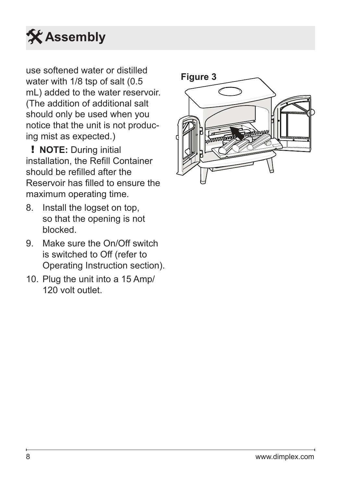# **Assembly**

use softened water or distilled water with 1/8 tsp of salt (0.5 mL) added to the water reservoir. (The addition of additional salt should only be used when you notice that the unit is not producing mist as expected.)

! **NOTE:** During initial installation, the Refill Container should be refilled after the Reservoir has filled to ensure the maximum operating time.

- 8. Install the logset on top, so that the opening is not blocked.
- 9. Make sure the On/Off switch is switched to Off (refer to Operating Instruction section).
- 10. Plug the unit into a 15 Amp/ 120 volt outlet.

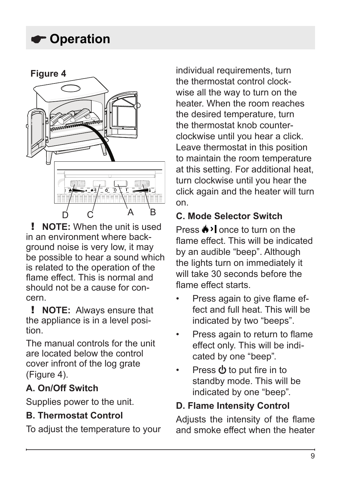## <span id="page-8-0"></span>**Operation**



! **NOTE:** When the unit is used in an environment where backaround noise is very low, it may be possible to hear a sound which is related to the operation of the flame effect. This is normal and should not be a cause for concern.

! **NOTE:** Always ensure that the appliance is in a level position.

The manual controls for the unit are located below the control cover infront of the log grate (Figure 4).

### **A. On/Off Switch**

Supplies power to the unit.

### **B. Thermostat Control**

To adjust the temperature to your

individual requirements, turn the thermostat control clockwise all the way to turn on the heater. When the room reaches the desired temperature, turn the thermostat knob counterclockwise until you hear a click. Leave thermostat in this position to maintain the room temperature at this setting. For additional heat, turn clockwise until you hear the click again and the heater will turn on.

### **C. Mode Selector Switch**

Press  $\triangle$  > I once to turn on the flame effect. This will be indicated by an audible "beep". Although the lights turn on immediately it will take 30 seconds before the flame effect starts.

- Press again to give flame effect and full heat. This will be indicated by two "beeps".
- Press again to return to flame effect only. This will be indicated by one "beep".
- Press  $\Phi$  to put fire in to standby mode. This will be indicated by one "beep".

### **D. Flame Intensity Control**

Adjusts the intensity of the flame and smoke effect when the heater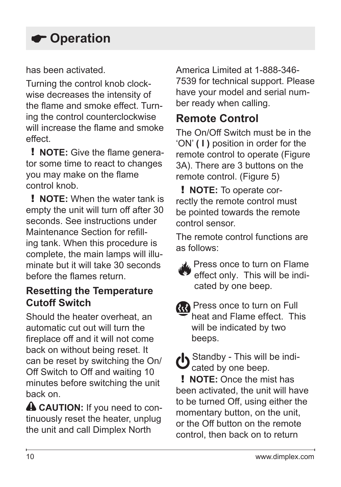## **Operation**

has been activated.

Turning the control knob clockwise decreases the intensity of the flame and smoke effect. Turning the control counterclockwise will increase the flame and smoke effect.

! **NOTE:** Give the flame generator some time to react to changes you may make on the flame control knob.

! **NOTE:** When the water tank is empty the unit will turn off after 30 seconds. See instructions under Maintenance Section for refilling tank. When this procedure is complete, the main lamps will illuminate but it will take 30 seconds before the flames return.

### **Resetting the Temperature Cutoff Switch**

Should the heater overheat, an automatic cut out will turn the fireplace off and it will not come back on without being reset. It can be reset by switching the On/ Off Switch to Off and waiting 10 minutes before switching the unit back on.

**A CAUTION:** If you need to continuously reset the heater, unplug the unit and call Dimplex North

America Limited at 1-888-346- 7539 for technical support. Please have your model and serial number ready when calling.

### **Remote Control**

The On/Off Switch must be in the 'ON' **( I )** position in order for the remote control to operate (Figure 3A). There are 3 buttons on the remote control. (Figure 5)

! **NOTE:** To operate correctly the remote control must be pointed towards the remote control sensor.

The remote control functions are as follows:



**AL** Press once to turn on Flame effect only. This will be indicated by one beep.

**RR** Press once to turn on Full heat and Flame effect. This will be indicated by two beeps.

Standby - This will be indicated by one beep.

! **NOTE:** Once the mist has been activated, the unit will have to be turned Off, using either the momentary button, on the unit, or the Off button on the remote control, then back on to return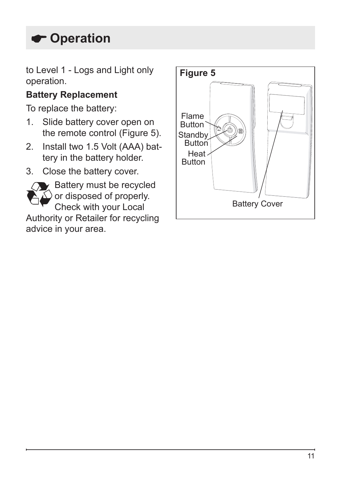## **Operation**

to Level 1 - Logs and Light only operation.

### **Battery Replacement**

To replace the battery:

- 1. Slide battery cover open on the remote control (Figure 5).
- 2. Install two 1.5 Volt (AAA) battery in the battery holder.
- 3. Close the battery cover.



 $\blacktriangleright$  Battery must be recycled or disposed of properly. Check with your Local

Authority or Retailer for recycling advice in your area.

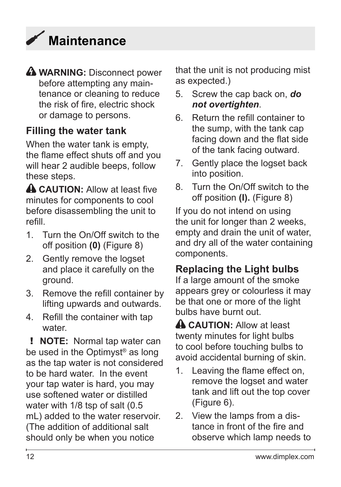# <span id="page-11-0"></span>**Maintenance**

**WARNING:** Disconnect power before attempting any maintenance or cleaning to reduce the risk of fire, electric shock or damage to persons.

### **Filling the water tank**

When the water tank is empty, the flame effect shuts off and you will hear 2 audible beeps, follow these steps.

**A CAUTION:** Allow at least five minutes for components to cool before disassembling the unit to refill.

- 1. Turn the On/Off switch to the off position **(0)** (Figure 8)
- 2. Gently remove the logset and place it carefully on the ground.
- 3. Remove the refill container by lifting upwards and outwards.
- 4. Refill the container with tap water.

! **NOTE:** Normal tap water can be used in the Optimyst<sup>®</sup> as long as the tap water is not considered to be hard water. In the event your tap water is hard, you may use softened water or distilled water with 1/8 tsp of salt (0.5 mL) added to the water reservoir. (The addition of additional salt should only be when you notice

that the unit is not producing mist as expected.)

- 5. Screw the cap back on, *do not overtighten*.
- 6. Return the refill container to the sump, with the tank cap facing down and the flat side of the tank facing outward.
- 7. Gently place the logset back into position.
- 8. Turn the On/Off switch to the off position **(I).** (Figure 8)

If you do not intend on using the unit for longer than 2 weeks, empty and drain the unit of water, and dry all of the water containing components.

### **Replacing the Light bulbs**

If a large amount of the smoke appears grey or colourless it may be that one or more of the light bulbs have burnt out.

**A CAUTION:** Allow at least twenty minutes for light bulbs to cool before touching bulbs to avoid accidental burning of skin.

- 1. Leaving the flame effect on, remove the logset and water tank and lift out the top cover (Figure 6).
- 2. View the lamps from a distance in front of the fire and observe which lamp needs to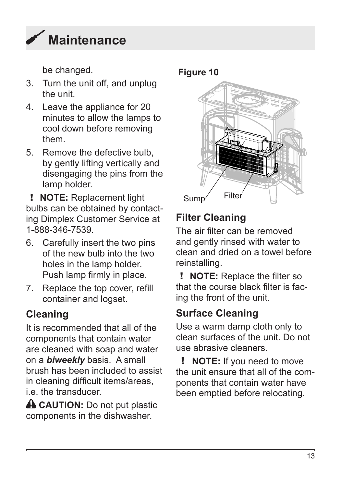

be changed. **Figure 10**

- 3. Turn the unit off, and unplug the unit.
- 4. Leave the appliance for 20 minutes to allow the lamps to cool down before removing them.
- 5. Remove the defective bulb, by gently lifting vertically and disengaging the pins from the lamp holder.

! **NOTE:** Replacement light bulbs can be obtained by contacting Dimplex Customer Service at 1-888-346-7539.

- 6. Carefully insert the two pins of the new bulb into the two holes in the lamp holder. Push lamp firmly in place.
- 7. Replace the top cover, refill container and logset.

### **Cleaning**

It is recommended that all of the components that contain water are cleaned with soap and water on a *biweekly* basis. A small brush has been included to assist in cleaning difficult items/areas, i.e. the transducer.

**A CAUTION:** Do not put plastic components in the dishwasher.



## **Filter Cleaning**

The air filter can be removed and gently rinsed with water to clean and dried on a towel before reinstalling.

! **NOTE:** Replace the filter so that the course black filter is facing the front of the unit.

### **Surface Cleaning**

Use a warm damp cloth only to clean surfaces of the unit. Do not use abrasive cleaners.

! **NOTE:** If you need to move the unit ensure that all of the components that contain water have been emptied before relocating.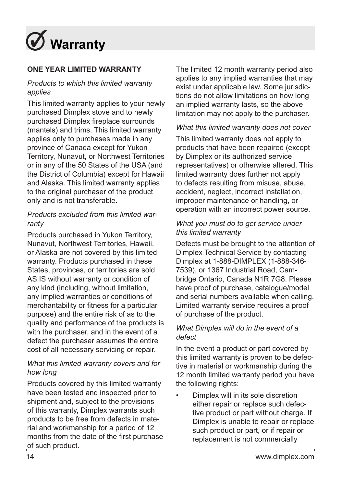<span id="page-13-0"></span>

#### **ONE YEAR LIMITED WARRANTY**

#### *Products to which this limited warranty applies*

This limited warranty applies to your newly purchased Dimplex stove and to newly purchased Dimplex fireplace surrounds (mantels) and trims. This limited warranty applies only to purchases made in any province of Canada except for Yukon Territory, Nunavut, or Northwest Territories or in any of the 50 States of the USA (and the District of Columbia) except for Hawaii and Alaska. This limited warranty applies to the original purchaser of the product only and is not transferable.

#### *Products excluded from this limited warranty*

Products purchased in Yukon Territory, Nunavut, Northwest Territories, Hawaii, or Alaska are not covered by this limited warranty. Products purchased in these States, provinces, or territories are sold AS IS without warranty or condition of any kind (including, without limitation, any implied warranties or conditions of merchantability or fitness for a particular purpose) and the entire risk of as to the quality and performance of the products is with the purchaser, and in the event of a defect the purchaser assumes the entire cost of all necessary servicing or repair.

#### *What this limited warranty covers and for how long*

Products covered by this limited warranty have been tested and inspected prior to shipment and, subject to the provisions of this warranty, Dimplex warrants such products to be free from defects in material and workmanship for a period of 12 months from the date of the first purchase of such product.

The limited 12 month warranty period also applies to any implied warranties that may exist under applicable law. Some jurisdictions do not allow limitations on how long an implied warranty lasts, so the above limitation may not apply to the purchaser.

#### *What this limited warranty does not cover*

This limited warranty does not apply to products that have been repaired (except by Dimplex or its authorized service representatives) or otherwise altered. This limited warranty does further not apply to defects resulting from misuse, abuse, accident, neglect, incorrect installation, improper maintenance or handling, or operation with an incorrect power source.

#### *What you must do to get service under this limited warranty*

Defects must be brought to the attention of Dimplex Technical Service by contacting Dimplex at 1-888-DIMPLEX (1-888-346- 7539), or 1367 Industrial Road, Cambridge Ontario, Canada N1R 7G8. Please have proof of purchase, catalogue/model and serial numbers available when calling. Limited warranty service requires a proof of purchase of the product.

#### *What Dimplex will do in the event of a defect*

In the event a product or part covered by this limited warranty is proven to be defective in material or workmanship during the 12 month limited warranty period you have the following rights:

• Dimplex will in its sole discretion either repair or replace such defective product or part without charge. If Dimplex is unable to repair or replace such product or part, or if repair or replacement is not commercially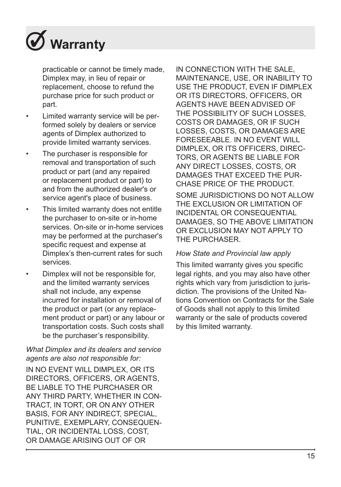# **Warranty**

practicable or cannot be timely made, Dimplex may, in lieu of repair or replacement, choose to refund the purchase price for such product or part.

- Limited warranty service will be performed solely by dealers or service agents of Dimplex authorized to provide limited warranty services.
- The purchaser is responsible for removal and transportation of such product or part (and any repaired or replacement product or part) to and from the authorized dealer's or service agent's place of business.
- This limited warranty does not entitle the purchaser to on-site or in-home services. On-site or in-home services may be performed at the purchaser's specific request and expense at Dimplex's then-current rates for such services.
- Dimplex will not be responsible for, and the limited warranty services shall not include, any expense incurred for installation or removal of the product or part (or any replacement product or part) or any labour or transportation costs. Such costs shall be the purchaser's responsibility.

#### *What Dimplex and its dealers and service agents are also not responsible for:*

IN NO EVENT WILL DIMPLEX, OR ITS DIRECTORS, OFFICERS, OR AGENTS BE LIABLE TO THE PURCHASER OR ANY THIRD PARTY, WHETHER IN CON-TRACT, IN TORT, OR ON ANY OTHER BASIS, FOR ANY INDIRECT, SPECIAL, PUNITIVE, EXEMPLARY, CONSEQUEN-TIAL, OR INCIDENTAL LOSS, COST, OR DAMAGE ARISING OUT OF OR

IN CONNECTION WITH THE SALE, MAINTENANCE, USE, OR INABILITY TO USE THE PRODUCT, EVEN IF DIMPLEX OR ITS DIRECTORS, OFFICERS, OR AGENTS HAVE BEEN ADVISED OF THE POSSIBILITY OF SUCH LOSSES COSTS OR DAMAGES, OR IF SUCH LOSSES, COSTS, OR DAMAGES ARE FORESEEABLE. IN NO EVENT WILL DIMPLEX, OR ITS OFFICERS, DIREC-TORS, OR AGENTS BE LIABLE FOR ANY DIRECT LOSSES, COSTS, OR DAMAGES THAT EXCEED THE PUR-CHASE PRICE OF THE PRODUCT. SOME JURISDICTIONS DO NOT ALLOW THE EXCLUSION OR LIMITATION OF INCIDENTAL OR CONSEQUENTIAL DAMAGES, SO THE ABOVE LIMITATION OR EXCLUSION MAY NOT APPLY TO THE PURCHASER.

#### *How State and Provincial law apply*

This limited warranty gives you specific legal rights, and you may also have other rights which vary from jurisdiction to jurisdiction. The provisions of the United Nations Convention on Contracts for the Sale of Goods shall not apply to this limited warranty or the sale of products covered by this limited warranty.